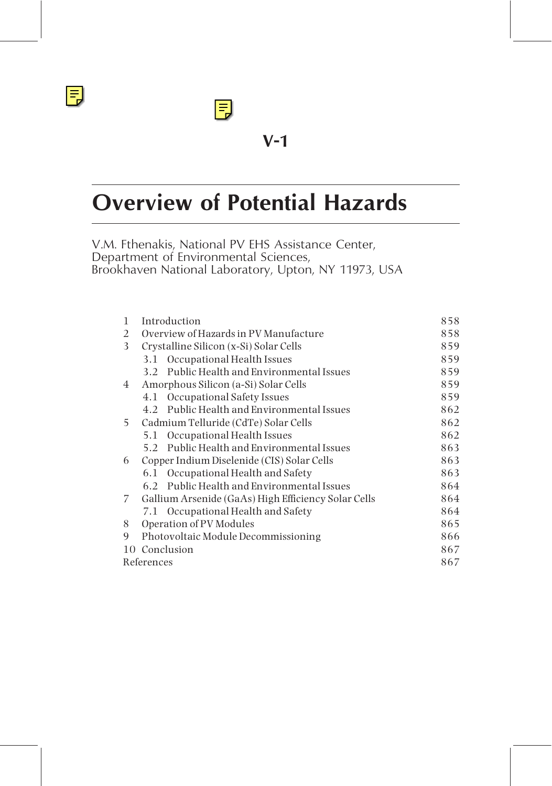

V-1

# Overview of Potential Hazards

V.M. Fthenakis, National PV EHS Assistance Center, Department of Environmental Sciences, Brookhaven National Laboratory, Upton, NY 11973, USA

| 1  | Introduction                                        | 858 |
|----|-----------------------------------------------------|-----|
| 2  | Overview of Hazards in PV Manufacture               | 858 |
| 3  | Crystalline Silicon (x-Si) Solar Cells              | 859 |
|    | 3.1 Occupational Health Issues                      | 859 |
|    | 3.2 Public Health and Environmental Issues          | 859 |
| 4  | Amorphous Silicon (a-Si) Solar Cells                | 859 |
|    | Occupational Safety Issues<br>4.1                   | 859 |
|    | 4.2 Public Health and Environmental Issues          | 862 |
| 5. | Cadmium Telluride (CdTe) Solar Cells                | 862 |
|    | 5.1 Occupational Health Issues                      | 862 |
|    | Public Health and Environmental Issues<br>5.2       | 863 |
| 6  | Copper Indium Diselenide (CIS) Solar Cells          | 863 |
|    | 6.1 Occupational Health and Safety                  | 863 |
|    | 6.2 Public Health and Environmental Issues          | 864 |
| 7  | Gallium Arsenide (GaAs) High Efficiency Solar Cells | 864 |
|    | 7.1 Occupational Health and Safety                  | 864 |
| 8  | Operation of PV Modules                             | 865 |
| 9  | Photovoltaic Module Decommissioning                 | 866 |
|    | 10 Conclusion                                       | 867 |
|    | References                                          | 867 |

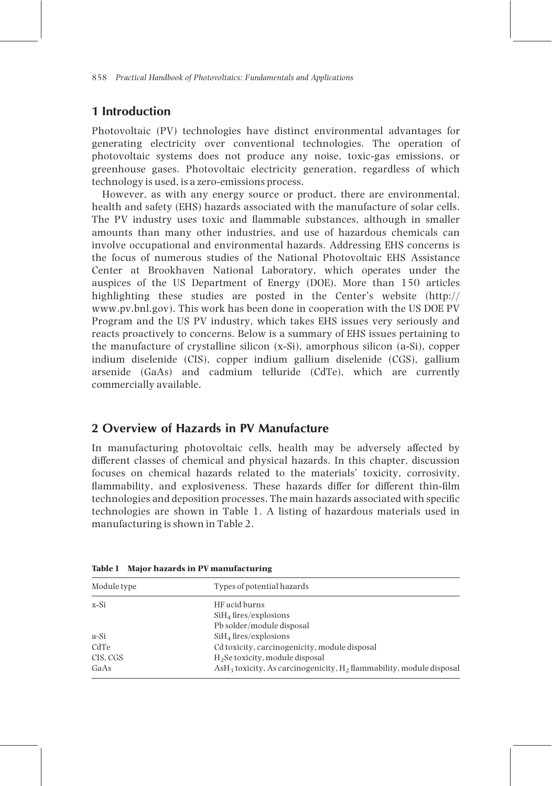## 1 Introduction

Photovoltaic (PV) technologies have distinct environmental advantages for generating electricity over conventional technologies. The operation of photovoltaic systems does not produce any noise, toxic-gas emissions, or greenhouse gases. Photovoltaic electricity generation, regardless of which technology is used, is a zero-emissions process.

However, as with any energy source or product, there are environmental, health and safety (EHS) hazards associated with the manufacture of solar cells. The PV industry uses toxic and flammable substances, although in smaller amounts than many other industries, and use of hazardous chemicals can involve occupational and environmental hazards. Addressing EHS concerns is the focus of numerous studies of the National Photovoltaic EHS Assistance Center at Brookhaven National Laboratory, which operates under the auspices of the US Department of Energy (DOE). More than 150 articles highlighting these studies are posted in the Center's website (http:// www.pv.bnl.gov). This work has been done in cooperation with the US DOE PV Program and the US PV industry, which takes EHS issues very seriously and reacts proactively to concerns. Below is a summary of EHS issues pertaining to the manufacture of crystalline silicon (x-Si), amorphous silicon (a-Si), copper indium diselenide (CIS), copper indium gallium diselenide (CGS), gallium arsenide (GaAs) and cadmium telluride (CdTe), which are currently commercially available.

# 2 Overview of Hazards in PV Manufacture

In manufacturing photovoltaic cells, health may be adversely affected by different classes of chemical and physical hazards. In this chapter, discussion focuses on chemical hazards related to the materials' toxicity, corrosivity, flammability, and explosiveness. These hazards differ for different thin-film technologies and deposition processes. The main hazards associated with specific technologies are shown in Table 1. A listing of hazardous materials used in manufacturing is shown in Table 2.

| Module type | Types of potential hazards                                                         |
|-------------|------------------------------------------------------------------------------------|
| x-Si        | HF acid burns                                                                      |
|             | $SiH4$ fires/explosions                                                            |
|             | Pb solder/module disposal                                                          |
| a-Si        | $SiH4$ fires/explosions                                                            |
| CdTe        | Cd toxicity, carcinogenicity, module disposal                                      |
| CIS, CGS    | $H2$ Se toxicity, module disposal                                                  |
| GaAs        | AsH <sub>3</sub> toxicity, As carcinogenicity, $H_2$ flammability, module disposal |

Table 1 Major hazards in PV manufacturing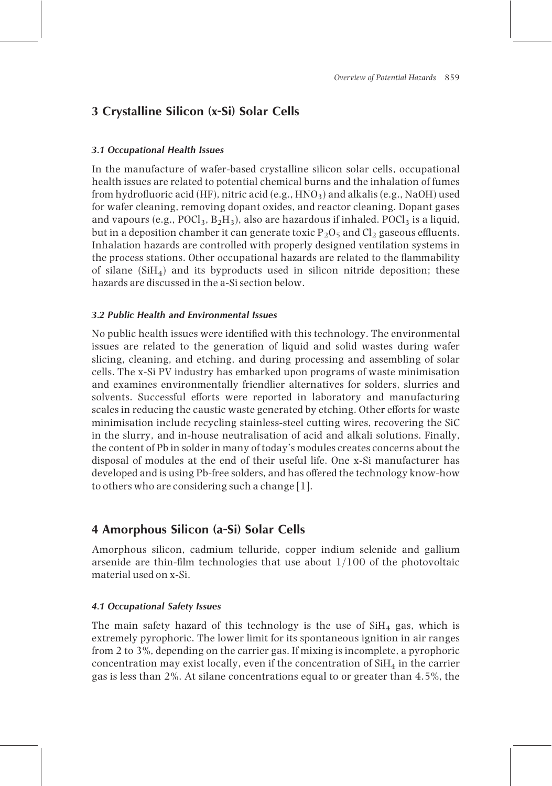# 3 Crystalline Silicon (x-Si) Solar Cells

#### 3.1 Occupational Health Issues

In the manufacture of wafer-based crystalline silicon solar cells, occupational health issues are related to potential chemical burns and the inhalation of fumes from hydrofluoric acid (HF), nitric acid (e.g.,  $HNO<sub>3</sub>$ ) and alkalis (e.g., NaOH) used for wafer cleaning, removing dopant oxides, and reactor cleaning. Dopant gases and vapours (e.g.,  $POCl<sub>3</sub>$ ,  $B<sub>2</sub>H<sub>3</sub>$ ), also are hazardous if inhaled.  $POCl<sub>3</sub>$  is a liquid, but in a deposition chamber it can generate toxic  $P_2O_5$  and  $Cl_2$  gaseous effluents. Inhalation hazards are controlled with properly designed ventilation systems in the process stations. Other occupational hazards are related to the flammability of silane  $(SiH_4)$  and its byproducts used in silicon nitride deposition; these hazards are discussed in the a-Si section below.

## 3.2 Public Health and Environmental Issues

No public health issues were identified with this technology. The environmental issues are related to the generation of liquid and solid wastes during wafer slicing, cleaning, and etching, and during processing and assembling of solar cells. The x-Si PV industry has embarked upon programs of waste minimisation and examines environmentally friendlier alternatives for solders, slurries and solvents. Successful efforts were reported in laboratory and manufacturing scales in reducing the caustic waste generated by etching. Other efforts for waste minimisation include recycling stainless-steel cutting wires, recovering the SiC in the slurry, and in-house neutralisation of acid and alkali solutions. Finally, the content of Pb in solder in many of today's modules creates concerns about the disposal of modules at the end of their useful life. One x-Si manufacturer has developed and is using Pb-free solders, and has offered the technology know-how to others who are considering such a change [1].

## 4 Amorphous Silicon (a-Si) Solar Cells

Amorphous silicon, cadmium telluride, copper indium selenide and gallium arsenide are thin-film technologies that use about  $1/100$  of the photovoltaic material used on x-Si.

#### 4.1 Occupational Safety Issues

The main safety hazard of this technology is the use of  $SiH<sub>4</sub>$  gas, which is extremely pyrophoric. The lower limit for its spontaneous ignition in air ranges from 2 to 3%, depending on the carrier gas. If mixing is incomplete, a pyrophoric concentration may exist locally, even if the concentration of  $SiH<sub>4</sub>$  in the carrier gas is less than 2%. At silane concentrations equal to or greater than 4.5%, the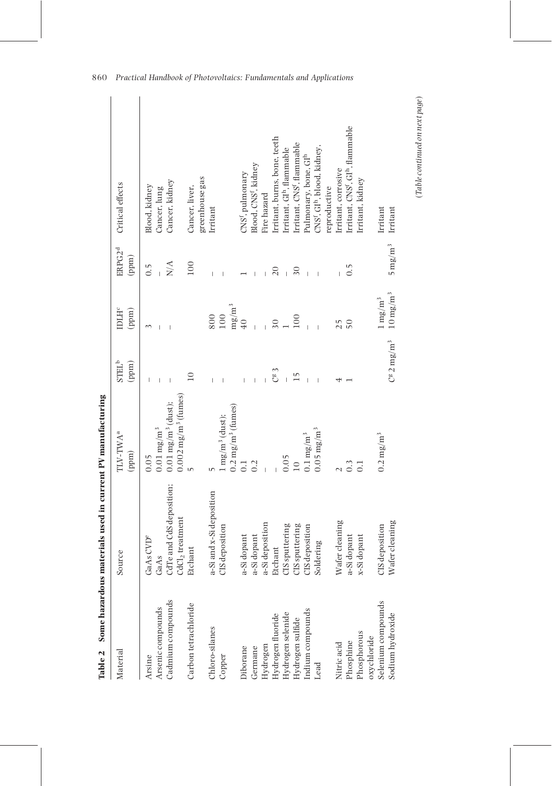| Table 2                                | Some hazardous materials used in current PV manufacturing       |                                                                       |                           |                                                        |                             |                                                          |
|----------------------------------------|-----------------------------------------------------------------|-----------------------------------------------------------------------|---------------------------|--------------------------------------------------------|-----------------------------|----------------------------------------------------------|
| Material                               | Source                                                          | TLV-TWA <sup>a</sup><br>(ppm)                                         | $STEL^b$<br>(ppm)         | <b>IDLH<sup>c</sup></b><br>(ppm)                       | ERPG2 <sup>d</sup><br>(ppm) | Critical effects                                         |
| Arsine                                 | GaAs CVD <sup>e</sup>                                           | 0.05                                                                  |                           |                                                        | $\frac{5}{1}$               | Blood, kidney                                            |
| Arsenic compounds                      |                                                                 | $0.01$ mg/m <sup>3</sup>                                              |                           |                                                        |                             | Cancer, lung                                             |
| Cadmium compounds                      | GaAs<br>CdTe and CdS deposition;<br>CdCl <sub>2</sub> treatment | $0.002$ mg/m <sup>3</sup> (fumes)<br>$0.01$ mg/m <sup>3</sup> (dust); |                           |                                                        | N/A                         | Cancer, kidney                                           |
| Carbon tetrachloride                   | Etchant                                                         |                                                                       | $\frac{1}{1}$             |                                                        | 100                         | Cancer, liver,                                           |
|                                        |                                                                 |                                                                       |                           |                                                        |                             | greenhouse gas                                           |
| Chloro-silanes                         | a-Si and x-Si deposition                                        |                                                                       |                           | 800                                                    | $\overline{1}$              | Irritant                                                 |
| Copper                                 | CIS deposition                                                  | $0.2 \,\mathrm{mg/m^3}$ (fumes)<br>$1 \text{ mg/m}^3$ (dust);         |                           | $\mathrm{mg}/\mathrm{m}^3$<br>100                      | I                           |                                                          |
|                                        |                                                                 |                                                                       |                           |                                                        |                             |                                                          |
| Diborane                               | a-Si dopant                                                     | $\overline{0}$ .                                                      |                           | 40                                                     |                             | CNS <sup>t</sup> , pulmonary                             |
| Germane                                | a-Si dopant                                                     | 0.2                                                                   |                           |                                                        |                             | Blood, CNS <sup>f</sup> , kidney                         |
| Hydrogen                               |                                                                 |                                                                       |                           |                                                        |                             | Fire hazard                                              |
| Hydrogen fluoride                      | a-Si deposition<br>Etchant<br>CIS sputtering                    |                                                                       | $Cg$ 3                    | 30                                                     | 20                          | Irritant, burns, bone, teeth                             |
| Hydrogen selenide                      |                                                                 | 0.05                                                                  |                           |                                                        |                             | Irritant, GI <sup>b</sup> , flammable                    |
| Hydrogen sulfide                       | CIS sputtering                                                  | $\overline{\phantom{0}}$                                              | $\overline{15}$           | 100                                                    | $30\,$                      | Irritant, CNS <sup>t</sup> , flammable                   |
| Indium compounds                       | CIS deposition                                                  | $0.1 \text{ mg/m}^3$                                                  |                           |                                                        | $\overline{1}$              | Pulmonary, bone, GI <sup>n</sup>                         |
| Lead                                   | Soldering                                                       | $0.05$ mg/m <sup>3</sup>                                              |                           |                                                        | $\overline{\phantom{a}}$    | CNS <sup>t</sup> , GI <sup>b</sup> , blood, kidney,      |
|                                        |                                                                 |                                                                       |                           |                                                        |                             | reproductive                                             |
| Nitric acid                            | Wafer cleaning                                                  |                                                                       |                           | 25                                                     |                             | Irritant, corrosive                                      |
| Phosphine                              | a-Si dopant                                                     | 0.3                                                                   |                           | 50                                                     | 0.5                         | Irritant, CNS <sup>t</sup> , GI <sup>b</sup> , flammable |
| Phosphorous<br>oxychloride             | x-Si dopant                                                     | $\overline{0}$ .                                                      |                           |                                                        |                             | Irritant, kidney                                         |
| Selenium compounds<br>Sodium hydroxide | Wafer cleaning<br>CIS deposition                                | $0.2 \,\mathrm{mg/m^3}$                                               | $C^g 2$ mg/m <sup>3</sup> | $10\,\mathrm{mg}/\mathrm{m}^3$<br>$1\,\mathrm{mg/m^3}$ | $5 \text{ mg/m}^3$          | Irritant<br>Irritant                                     |
|                                        |                                                                 |                                                                       |                           |                                                        |                             |                                                          |

 $\left( Table\, continued\, on\, next\, page \right)$ (Table continued on next page)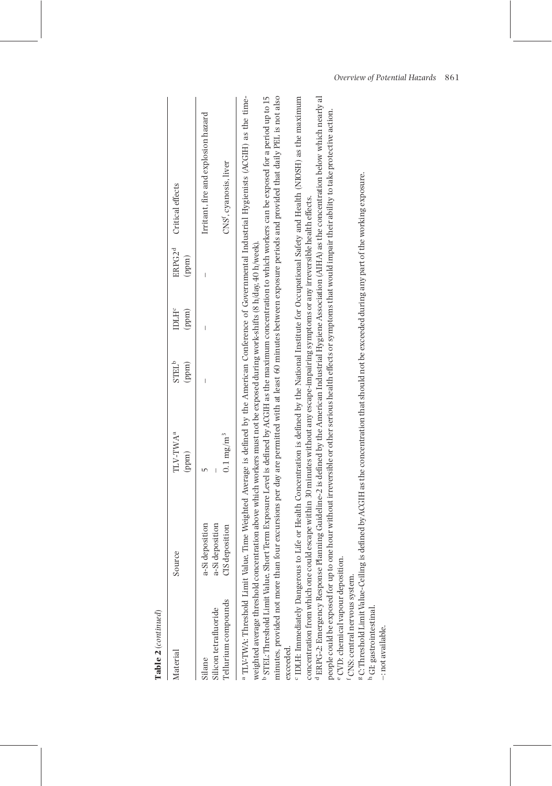Table 2 (continued) Table 2 (continued)

| Critical effects        |                   | nazar<br>rritant, fire and explosion b |                       | CNS <sup>t</sup> , cyanosis, liver |  |
|-------------------------|-------------------|----------------------------------------|-----------------------|------------------------------------|--|
| ERPG2 <sup>d</sup>      | ppm)              | I                                      |                       |                                    |  |
| <b>IDLH<sup>c</sup></b> | ppm)              | I                                      |                       |                                    |  |
| STELP                   | (mdd <sub>,</sub> | I                                      |                       |                                    |  |
| $TLV-TWA^a$             | (mdd              |                                        |                       | $1 \,\mathrm{mg/m}$                |  |
| source                  |                   | a-Si depositio                         | <b>1-Si</b> depositio | IS deposition                      |  |
| ateria                  |                   | ilane                                  | ilicon tetrafluori    | llurium compoun                    |  |

 $\overline{\phantom{a}}$ 

TLV-TWA: Threshold Limit Value, Time Weighted Average is defined by the American Conference of Governmental Industrial Hygienists (ACGIH) as the time- TLV-TWA: Threshold Limit Value, Time Weighted Average is de¢ned by the American Conference of Governmental Industrial Hygienists (ACGIH) as the timeweighted average threshold concentration above which workers must not be exposed during work-shifts (8 h/day, 40 h/week). weighted average threshold concentration above which workers must not be exposed during work-shifts (8 h/day, 40 h/week).

b STEL: Threshold Limit Value, Short Term Exposure Level is defined by ACGIH as the maximum concentration to which workers can be exposed for a period up to 15 minutes, provided not more than four excursions per day are permitted with at least 60 minutes between exposure periods and provided that daily PEL is not also STEL:Threshold Limit Value, Short Term Exposure Level is de¢ned byACGIH as the maximum concentration to which workers can be exposed for a period up to 15 minutes, provided not more than four excursions per day are permitted with at least 60 minutes between exposure periods and provided that daily PEL is not also exceeded. exceeded.

<sup>c</sup> IDLH: Immediately Dangerous to Life or Health Concentration is defined by the National Institute for Occupational Safety and Health (NIOSH) as the maximum IDLH: Immediately Dangerous to Life or Health Concentration is de¢ned by the National Institute for Occupational Safety and Health (NIOSH) as the maximum concentration from which one could escape within 30 minutes without any escape-impairing symptoms or any irreversible health effects. concentration from which one could escape within 30 minutes without any escape-impairing symptoms or any irreversible health effects.

 $^{\rm d}$  ERPG-2: Emergency Response Planning Guideline-2 is defined by the American Industrial Hygiene Association (AIHA) as the concentration below which nearly al ERPG-2: Emergency Response Planning Guideline-2 is de¢ned by the American Industrial Hygiene Association (AIHA) as the concentration below which nearly al people could be exposed for up to one hour without irreversible or other serious health effects or symptoms that would impair their ability to take protective action. people could be exposed for up to one hour without irreversible or other serious health e¡ects or symptoms that would impair their ability to take protective action.

e CVD: chemical vapour deposition. CVD: chemical vapour deposition.

CNS: central nervous system. CNS: central nervous system. <sup>g</sup> C.Threshold LimitValue-Ceiling is defined by ACGIH as the concentration that should not be exceeded during any part of the working exposure. C:Threshold LimitValue-Ceiling is de¢ned byACGIH as the concentration that should not be exceeded during any part of the working exposure. <sup>h</sup>GI: gastrointestinal. GI: gastrointestinal.

-: not available. ^: not available.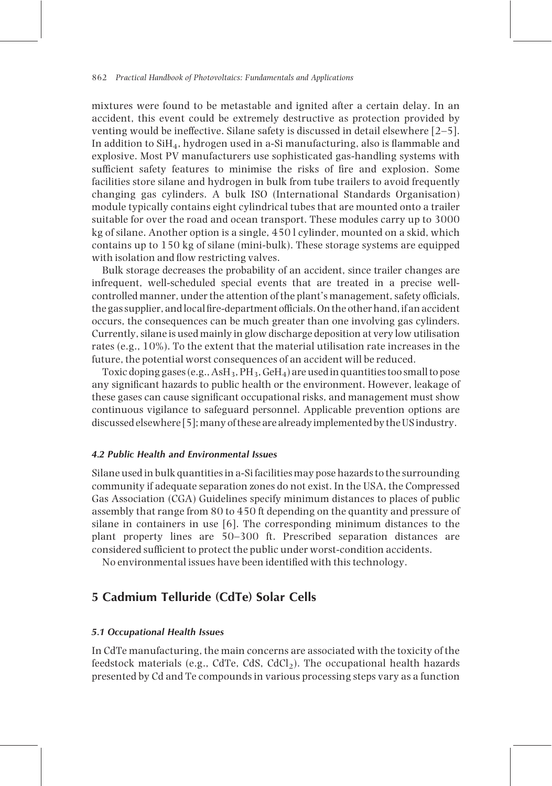mixtures were found to be metastable and ignited after a certain delay. In an accident, this event could be extremely destructive as protection provided by venting would be ineffective. Silane safety is discussed in detail elsewhere  $[2-5]$ . In addition to  $SiH_4$ , hydrogen used in a-Si manufacturing, also is flammable and explosive. Most PV manufacturers use sophisticated gas-handling systems with sufficient safety features to minimise the risks of fire and explosion. Some facilities store silane and hydrogen in bulk from tube trailers to avoid frequently changing gas cylinders. A bulk ISO (International Standards Organisation) module typically contains eight cylindrical tubes that are mounted onto a trailer suitable for over the road and ocean transport. These modules carry up to 3000 kg of silane. Another option is a single, 450 l cylinder, mounted on a skid, which contains up to 150 kg of silane (mini-bulk). These storage systems are equipped with isolation and flow restricting valves.

Bulk storage decreases the probability of an accident, since trailer changes are infrequent, well-scheduled special events that are treated in a precise wellcontrolled manner, under the attention of the plant's management, safety officials, the gas supplier, and local fire-department officials. On the other hand, if an accident occurs, the consequences can be much greater than one involving gas cylinders. Currently, silane is used mainly in glow discharge deposition at very low utilisation rates (e.g., 10%). To the extent that the material utilisation rate increases in the future, the potential worst consequences of an accident will be reduced.

Toxic doping gases (e.g.,  $AsH_3$ ,  $PH_3$ ,  $GeH_4$ ) are used in quantities too small to pose any significant hazards to public health or the environment. However, leakage of these gases can cause significant occupational risks, and management must show continuous vigilance to safeguard personnel. Applicable prevention options are discussed elsewhere [5]; many of these are already implemented by the US industry.

## 4.2 Public Health and Environmental Issues

Silane used in bulk quantities in a-Si facilities may pose hazards to the surrounding community if adequate separation zones do not exist. In the USA, the Compressed Gas Association (CGA) Guidelines specify minimum distances to places of public assembly that range from 80 to 450 ft depending on the quantity and pressure of silane in containers in use [6]. The corresponding minimum distances to the plant property lines are 50-300 ft. Prescribed separation distances are considered sufficient to protect the public under worst-condition accidents.

No environmental issues have been identified with this technology.

# 5 Cadmium Telluride (CdTe) Solar Cells

## 5.1 Occupational Health Issues

In CdTe manufacturing, the main concerns are associated with the toxicity of the feedstock materials (e.g., CdTe, CdS, CdCl<sub>2</sub>). The occupational health hazards presented by Cd and Te compounds in various processing steps vary as a function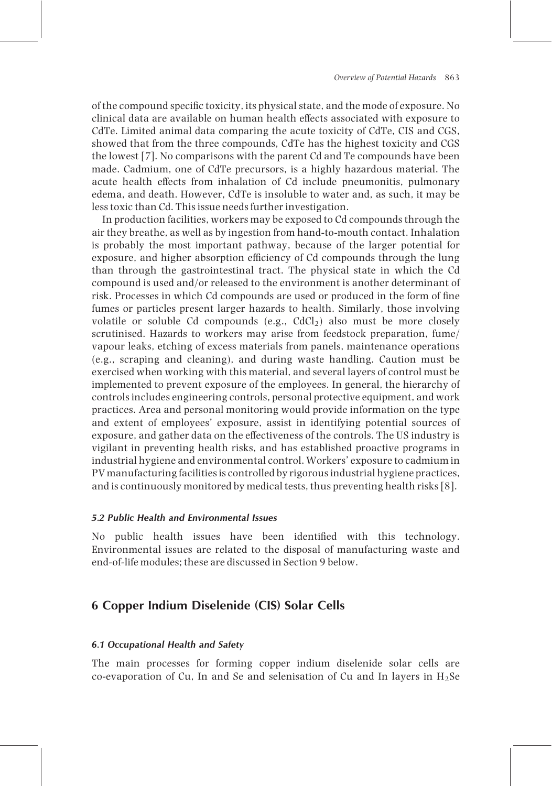of the compound specific toxicity, its physical state, and the mode of exposure. No clinical data are available on human health effects associated with exposure to CdTe. Limited animal data comparing the acute toxicity of CdTe, CIS and CGS, showed that from the three compounds, CdTe has the highest toxicity and CGS the lowest [7]. No comparisons with the parent Cd and Te compounds have been made. Cadmium, one of CdTe precursors, is a highly hazardous material. The acute health effects from inhalation of Cd include pneumonitis, pulmonary edema, and death. However, CdTe is insoluble to water and, as such, it may be less toxic than Cd. This issue needs further investigation.

In production facilities, workers may be exposed to Cd compounds through the air they breathe, as well as by ingestion from hand-to-mouth contact. Inhalation is probably the most important pathway, because of the larger potential for exposure, and higher absorption efficiency of Cd compounds through the lung than through the gastrointestinal tract. The physical state in which the Cd compound is used and/or released to the environment is another determinant of risk. Processes in which Cd compounds are used or produced in the form of fine fumes or particles present larger hazards to health. Similarly, those involving volatile or soluble Cd compounds (e.g., CdCl<sub>2</sub>) also must be more closely scrutinised. Hazards to workers may arise from feedstock preparation, fume/ vapour leaks, etching of excess materials from panels, maintenance operations (e.g., scraping and cleaning), and during waste handling. Caution must be exercised when working with this material, and several layers of control must be implemented to prevent exposure of the employees. In general, the hierarchy of controls includes engineering controls, personal protective equipment, and work practices. Area and personal monitoring would provide information on the type and extent of employees' exposure, assist in identifying potential sources of exposure, and gather data on the effectiveness of the controls. The US industry is vigilant in preventing health risks, and has established proactive programs in industrial hygiene and environmental control. Workers' exposure to cadmium in PV manufacturing facilities is controlled by rigorous industrial hygiene practices, and is continuously monitored by medical tests, thus preventing health risks [8].

## 5.2 Public Health and Environmental Issues

No public health issues have been identified with this technology. Environmental issues are related to the disposal of manufacturing waste and end-of-life modules; these are discussed in Section 9 below.

# 6 Copper Indium Diselenide (CIS) Solar Cells

#### 6.1 Occupational Health and Safety

The main processes for forming copper indium diselenide solar cells are co-evaporation of Cu, In and Se and selenisation of Cu and In layers in  $H_2$ Se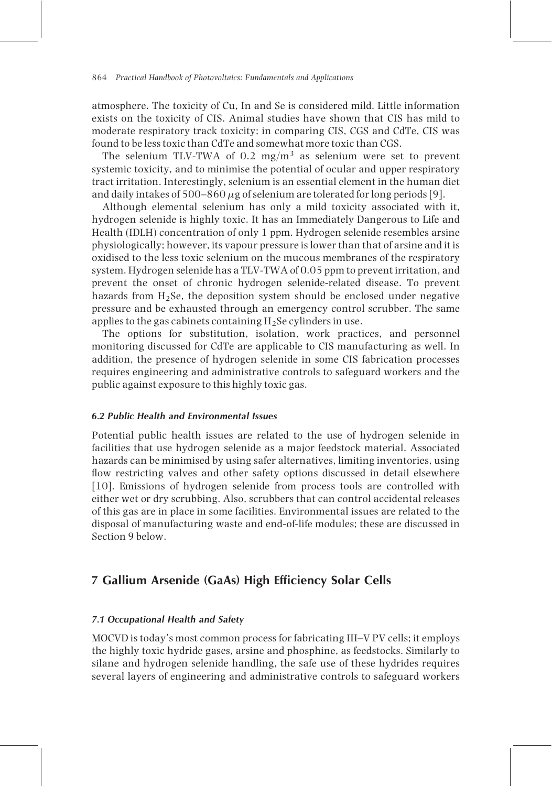atmosphere. The toxicity of Cu, In and Se is considered mild. Little information exists on the toxicity of CIS. Animal studies have shown that CIS has mild to moderate respiratory track toxicity; in comparing CIS, CGS and CdTe, CIS was found to be less toxic than CdTe and somewhat more toxic than CGS.

The selenium TLV-TWA of 0.2 mg/m<sup>3</sup> as selenium were set to prevent systemic toxicity, and to minimise the potential of ocular and upper respiratory tract irritation. Interestingly, selenium is an essential element in the human diet and daily intakes of 500–860  $\mu$ g of selenium are tolerated for long periods [9].

Although elemental selenium has only a mild toxicity associated with it, hydrogen selenide is highly toxic. It has an Immediately Dangerous to Life and Health (IDLH) concentration of only 1 ppm. Hydrogen selenide resembles arsine physiologically; however, its vapour pressure is lower than that of arsine and it is oxidised to the less toxic selenium on the mucous membranes of the respiratory system. Hydrogen selenide has a TLV-TWA of 0.05 ppm to prevent irritation, and prevent the onset of chronic hydrogen selenide-related disease. To prevent hazards from  $H_2$ Se, the deposition system should be enclosed under negative pressure and be exhausted through an emergency control scrubber. The same applies to the gas cabinets containing  $H_2$ Se cylinders in use.

The options for substitution, isolation, work practices, and personnel monitoring discussed for CdTe are applicable to CIS manufacturing as well. In addition, the presence of hydrogen selenide in some CIS fabrication processes requires engineering and administrative controls to safeguard workers and the public against exposure to this highly toxic gas.

#### 6.2 Public Health and Environmental Issues

Potential public health issues are related to the use of hydrogen selenide in facilities that use hydrogen selenide as a major feedstock material. Associated hazards can be minimised by using safer alternatives, limiting inventories, using flow restricting valves and other safety options discussed in detail elsewhere [10]. Emissions of hydrogen selenide from process tools are controlled with either wet or dry scrubbing. Also, scrubbers that can control accidental releases of this gas are in place in some facilities. Environmental issues are related to the disposal of manufacturing waste and end-of-life modules; these are discussed in Section 9 below.

# 7 Gallium Arsenide (GaAs) High Efficiency Solar Cells

## 7.1 Occupational Health and Safety

MOCVD is today's most common process for fabricating III-V PV cells; it employs the highly toxic hydride gases, arsine and phosphine, as feedstocks. Similarly to silane and hydrogen selenide handling, the safe use of these hydrides requires several layers of engineering and administrative controls to safeguard workers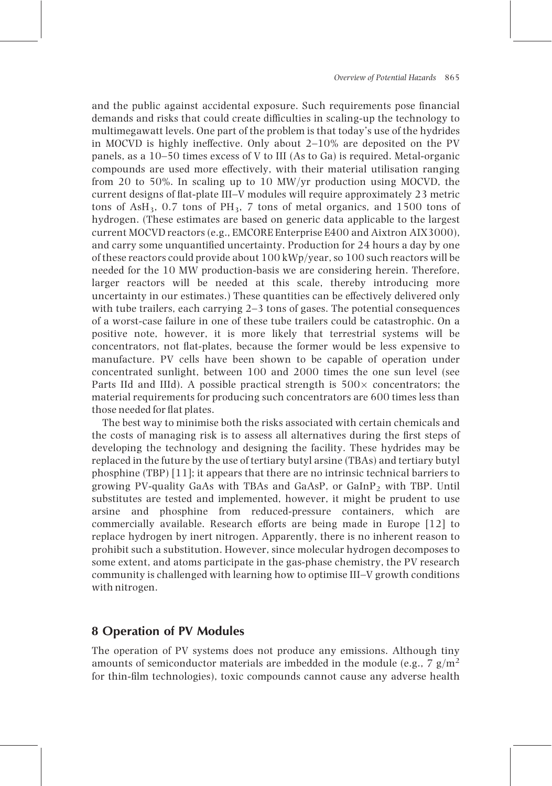and the public against accidental exposure. Such requirements pose financial demands and risks that could create difficulties in scaling-up the technology to multimegawatt levels. One part of the problem is that today's use of the hydrides in MOCVD is highly ineffective. Only about  $2\text{--}10\%$  are deposited on the PV panels, as a  $10-50$  times excess of V to III (As to Ga) is required. Metal-organic compounds are used more effectively, with their material utilisation ranging from 20 to 50%. In scaling up to 10 MW/yr production using MOCVD, the current designs of flat-plate III-V modules will require approximately 23 metric tons of AsH<sub>3</sub>, 0.7 tons of PH<sub>3</sub>, 7 tons of metal organics, and 1500 tons of hydrogen. (These estimates are based on generic data applicable to the largest current MOCVD reactors (e.g., EMCORE Enterprise E400 and Aixtron AIX3000), and carry some unquantified uncertainty. Production for 24 hours a day by one of these reactors could provide about 100 kWp/year, so 100 such reactors will be needed for the 10 MW production-basis we are considering herein. Therefore, larger reactors will be needed at this scale, thereby introducing more uncertainty in our estimates.) These quantities can be effectively delivered only with tube trailers, each carrying  $2-3$  tons of gases. The potential consequences of a worst-case failure in one of these tube trailers could be catastrophic. On a positive note, however, it is more likely that terrestrial systems will be concentrators, not flat-plates, because the former would be less expensive to manufacture. PV cells have been shown to be capable of operation under concentrated sunlight, between 100 and 2000 times the one sun level (see Parts IId and IIId). A possible practical strength is  $500 \times$  concentrators; the material requirements for producing such concentrators are 600 times less than those needed for flat plates.

The best way to minimise both the risks associated with certain chemicals and the costs of managing risk is to assess all alternatives during the first steps of developing the technology and designing the facility. These hydrides may be replaced in the future by the use of tertiary butyl arsine (TBAs) and tertiary butyl phosphine (TBP) [11]; it appears that there are no intrinsic technical barriers to growing PV-quality GaAs with TBAs and GaAsP, or  $GainP<sub>2</sub>$  with TBP. Until substitutes are tested and implemented, however, it might be prudent to use arsine and phosphine from reduced-pressure containers, which are commercially available. Research efforts are being made in Europe [12] to replace hydrogen by inert nitrogen. Apparently, there is no inherent reason to prohibit such a substitution. However, since molecular hydrogen decomposes to some extent, and atoms participate in the gas-phase chemistry, the PV research community is challenged with learning how to optimise III–V growth conditions with nitrogen.

## 8 Operation of PV Modules

The operation of PV systems does not produce any emissions. Although tiny amounts of semiconductor materials are imbedded in the module (e.g.,  $7 g/m^2$ for thin-film technologies), toxic compounds cannot cause any adverse health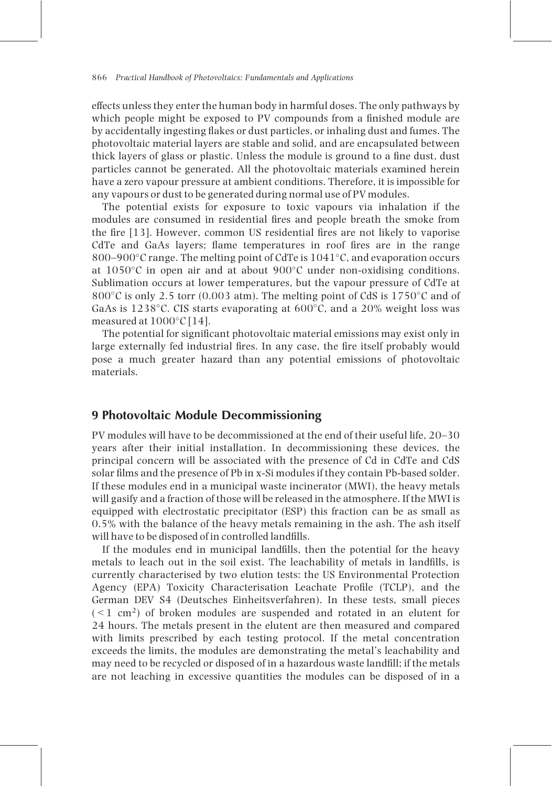effects unless they enter the human body in harmful doses. The only pathways by which people might be exposed to PV compounds from a finished module are by accidentally ingesting £akes or dust particles, or inhaling dust and fumes. The photovoltaic material layers are stable and solid, and are encapsulated between thick layers of glass or plastic. Unless the module is ground to a fine dust, dust particles cannot be generated. All the photovoltaic materials examined herein have a zero vapour pressure at ambient conditions. Therefore, it is impossible for any vapours or dust to be generated during normal use of PV modules.

The potential exists for exposure to toxic vapours via inhalation if the modules are consumed in residential fires and people breath the smoke from the fire [13]. However, common US residential fires are not likely to vaporise CdTe and GaAs layers; flame temperatures in roof fires are in the range 800-900°C range. The melting point of CdTe is 1041°C, and evaporation occurs at  $1050^{\circ}$ C in open air and at about  $900^{\circ}$ C under non-oxidising conditions. Sublimation occurs at lower temperatures, but the vapour pressure of CdTe at 800°C is only 2.5 torr (0.003 atm). The melting point of CdS is 1750°C and of GaAs is 1238°C. CIS starts evaporating at 600°C, and a 20% weight loss was measured at  $1000^{\circ}$ C $[14]$ .

The potential for significant photovoltaic material emissions may exist only in large externally fed industrial fires. In any case, the fire itself probably would pose a much greater hazard than any potential emissions of photovoltaic materials.

## 9 Photovoltaic Module Decommissioning

PV modules will have to be decommissioned at the end of their useful life, 20-30 years after their initial installation. In decommissioning these devices, the principal concern will be associated with the presence of Cd in CdTe and CdS solar films and the presence of Pb in x-Si modules if they contain Pb-based solder. If these modules end in a municipal waste incinerator (MWI), the heavy metals will gasify and a fraction of those will be released in the atmosphere. If the MWI is equipped with electrostatic precipitator (ESP) this fraction can be as small as 0.5% with the balance of the heavy metals remaining in the ash. The ash itself will have to be disposed of in controlled landfills.

If the modules end in municipal land¢lls, then the potential for the heavy metals to leach out in the soil exist. The leachability of metals in landfills, is currently characterised by two elution tests: the US Environmental Protection Agency (EPA) Toxicity Characterisation Leachate Profile (TCLP), and the German DEV S4 (Deutsches Einheitsverfahren). In these tests, small pieces  $(< 1$  cm<sup>2</sup>) of broken modules are suspended and rotated in an elutent for 24 hours. The metals present in the elutent are then measured and compared with limits prescribed by each testing protocol. If the metal concentration exceeds the limits, the modules are demonstrating the metal's leachability and may need to be recycled or disposed of in a hazardous waste landfill; if the metals are not leaching in excessive quantities the modules can be disposed of in a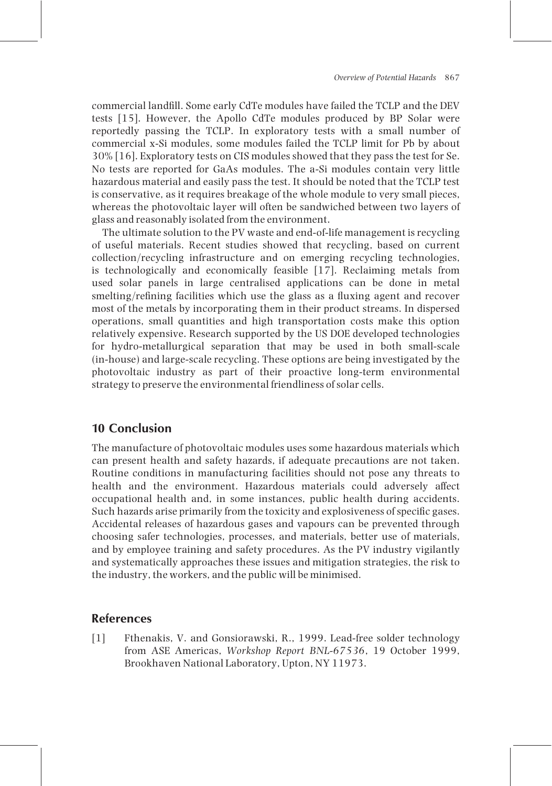commercial landfill. Some early CdTe modules have failed the TCLP and the DEV tests [15]. However, the Apollo CdTe modules produced by BP Solar were reportedly passing the TCLP. In exploratory tests with a small number of commercial x-Si modules, some modules failed the TCLP limit for Pb by about 30% [16]. Exploratory tests on CIS modules showed that they pass the test for Se. No tests are reported for GaAs modules. The a-Si modules contain very little hazardous material and easily pass the test. It should be noted that the TCLP test is conservative, as it requires breakage of the whole module to very small pieces, whereas the photovoltaic layer will often be sandwiched between two layers of glass and reasonably isolated from the environment.

The ultimate solution to the PV waste and end-of-life management is recycling of useful materials. Recent studies showed that recycling, based on current collection/recycling infrastructure and on emerging recycling technologies, is technologically and economically feasible [17]. Reclaiming metals from used solar panels in large centralised applications can be done in metal smelting/refining facilities which use the glass as a fluxing agent and recover most of the metals by incorporating them in their product streams. In dispersed operations, small quantities and high transportation costs make this option relatively expensive. Research supported by the US DOE developed technologies for hydro-metallurgical separation that may be used in both small-scale (in-house) and large-scale recycling. These options are being investigated by the photovoltaic industry as part of their proactive long-term environmental strategy to preserve the environmental friendliness of solar cells.

## 10 Conclusion

The manufacture of photovoltaic modules uses some hazardous materials which can present health and safety hazards, if adequate precautions are not taken. Routine conditions in manufacturing facilities should not pose any threats to health and the environment. Hazardous materials could adversely affect occupational health and, in some instances, public health during accidents. Such hazards arise primarily from the toxicity and explosiveness of specific gases. Accidental releases of hazardous gases and vapours can be prevented through choosing safer technologies, processes, and materials, better use of materials, and by employee training and safety procedures. As the PV industry vigilantly and systematically approaches these issues and mitigation strategies, the risk to the industry, the workers, and the public will be minimised.

## References

[1] Fthenakis, V. and Gonsiorawski, R., 1999. Lead-free solder technology from ASE Americas, Workshop Report BNL-67536, 19 October 1999, Brookhaven National Laboratory, Upton, NY 11973.